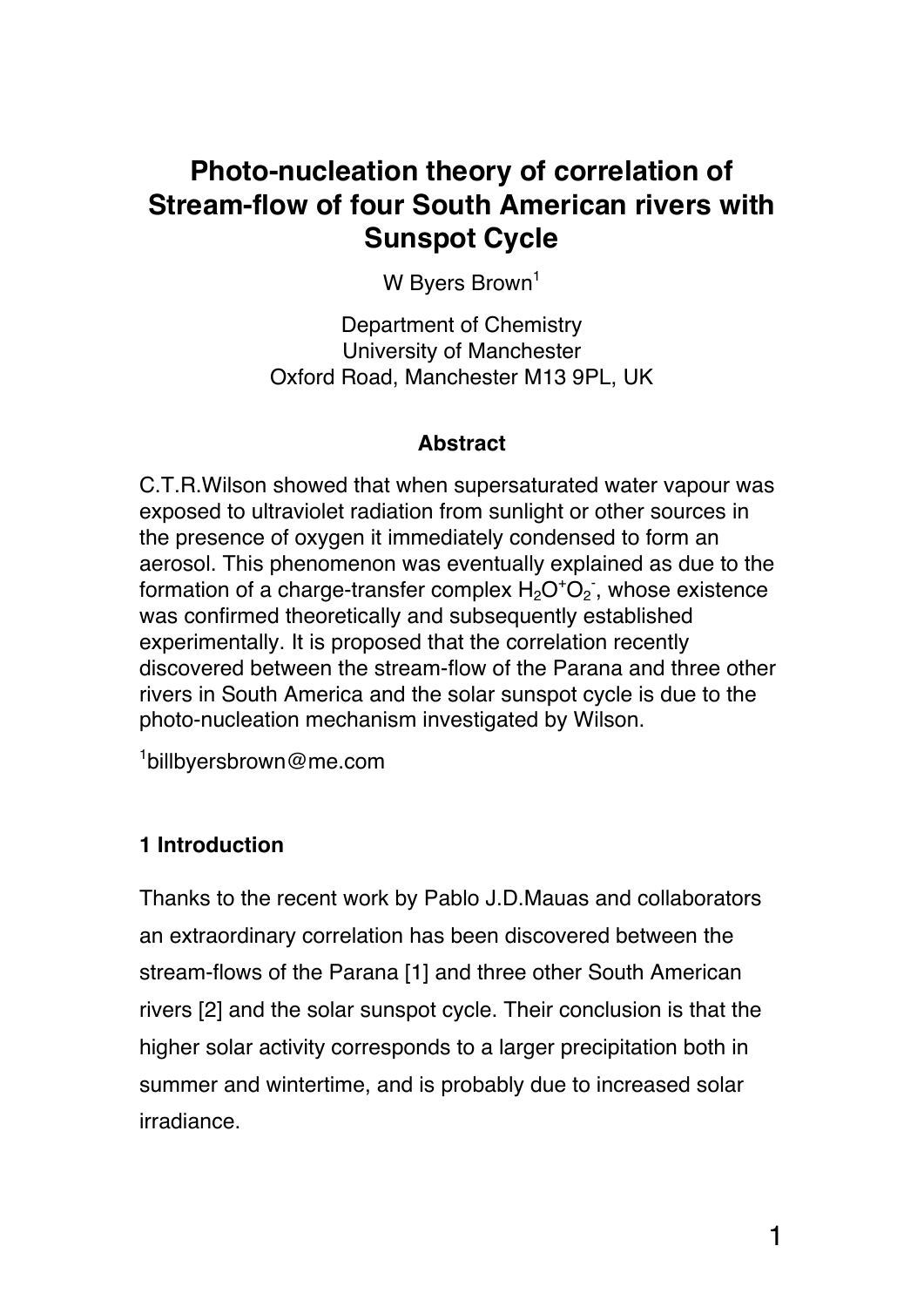# **Photo-nucleation theory of correlation of Stream-flow of four South American rivers with Sunspot Cycle**

W Byers Brown<sup>1</sup>

Department of Chemistry University of Manchester Oxford Road, Manchester M13 9PL, UK

## **Abstract**

C.T.R.Wilson showed that when supersaturated water vapour was exposed to ultraviolet radiation from sunlight or other sources in the presence of oxygen it immediately condensed to form an aerosol. This phenomenon was eventually explained as due to the formation of a charge-transfer complex  $H_2O^+O_2$ , whose existence was confirmed theoretically and subsequently established experimentally. It is proposed that the correlation recently discovered between the stream-flow of the Parana and three other rivers in South America and the solar sunspot cycle is due to the photo-nucleation mechanism investigated by Wilson.

1 billbyersbrown@me.com

## **1 Introduction**

Thanks to the recent work by Pablo J.D.Mauas and collaborators an extraordinary correlation has been discovered between the stream-flows of the Parana [1] and three other South American rivers [2] and the solar sunspot cycle. Their conclusion is that the higher solar activity corresponds to a larger precipitation both in summer and wintertime, and is probably due to increased solar irradiance.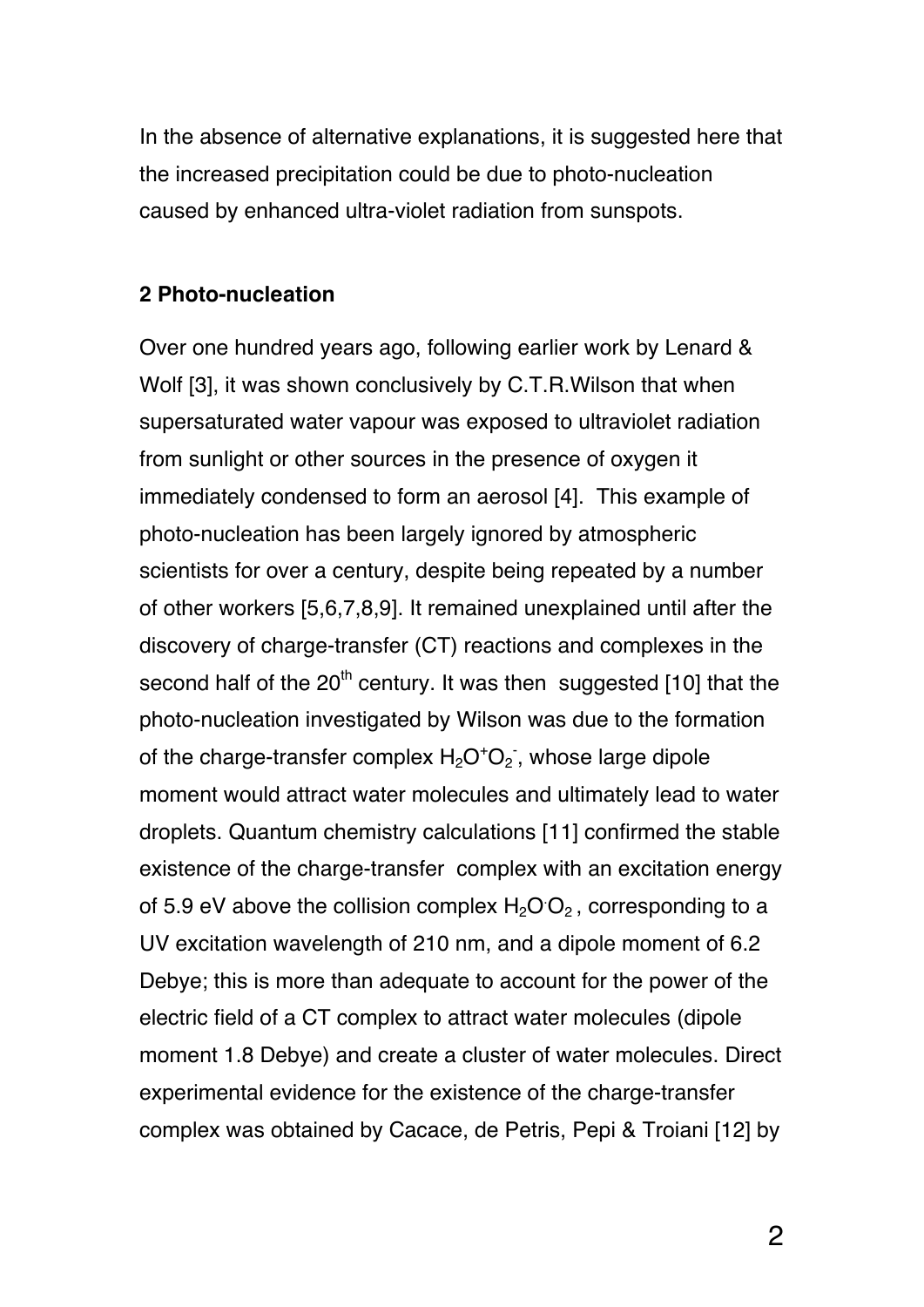In the absence of alternative explanations, it is suggested here that the increased precipitation could be due to photo-nucleation caused by enhanced ultra-violet radiation from sunspots.

#### **2 Photo-nucleation**

Over one hundred years ago, following earlier work by Lenard & Wolf [3], it was shown conclusively by C.T.R.Wilson that when supersaturated water vapour was exposed to ultraviolet radiation from sunlight or other sources in the presence of oxygen it immediately condensed to form an aerosol [4]. This example of photo-nucleation has been largely ignored by atmospheric scientists for over a century, despite being repeated by a number of other workers [5,6,7,8,9]. It remained unexplained until after the discovery of charge-transfer (CT) reactions and complexes in the second half of the  $20<sup>th</sup>$  century. It was then suggested [10] that the photo-nucleation investigated by Wilson was due to the formation of the charge-transfer complex  $H_2O^+O_2$ , whose large dipole moment would attract water molecules and ultimately lead to water droplets. Quantum chemistry calculations [11] confirmed the stable existence of the charge-transfer complex with an excitation energy of 5.9 eV above the collision complex  $H_2O O_2$ , corresponding to a UV excitation wavelength of 210 nm, and a dipole moment of 6.2 Debye; this is more than adequate to account for the power of the electric field of a CT complex to attract water molecules (dipole moment 1.8 Debye) and create a cluster of water molecules. Direct experimental evidence for the existence of the charge-transfer complex was obtained by Cacace, de Petris, Pepi & Troiani [12] by

2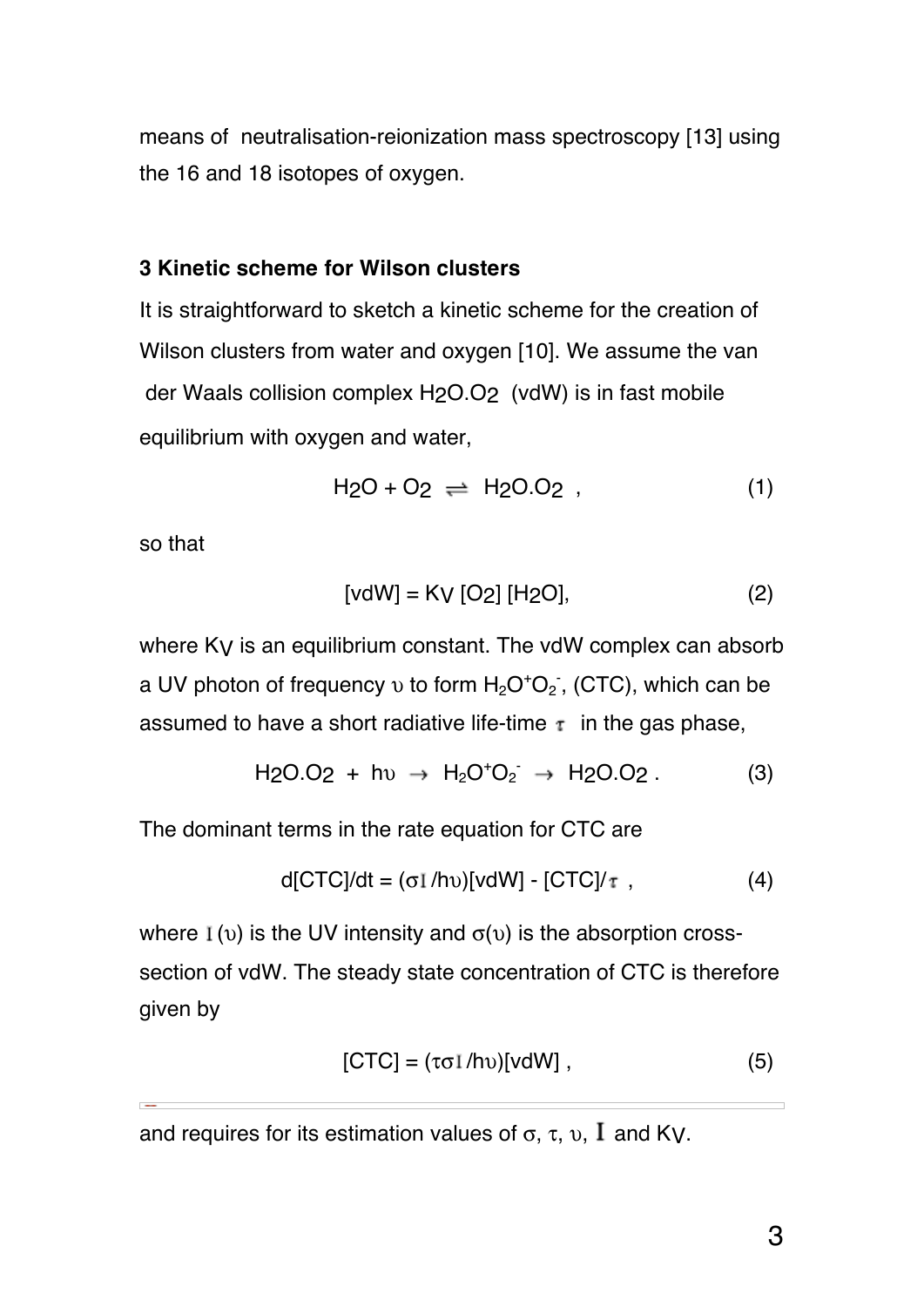means of neutralisation-reionization mass spectroscopy [13] using the 16 and 18 isotopes of oxygen.

#### **3 Kinetic scheme for Wilson clusters**

It is straightforward to sketch a kinetic scheme for the creation of Wilson clusters from water and oxygen [10]. We assume the van der Waals collision complex H2O.O2 (vdW) is in fast mobile equilibrium with oxygen and water,

$$
H_2O + O_2 \rightleftharpoons H_2O.O_2 , \qquad (1)
$$

so that

$$
[vdW] = KV [O2] [H2O], \t(2)
$$

where K<sub>V</sub> is an equilibrium constant. The vdW complex can absorb a UV photon of frequency  $v$  to form  $H_2O^+O_2$ , (CTC), which can be assumed to have a short radiative life-time  $\tau$  in the gas phase,

H2O.O2 + hυ H2O<sup>+</sup> O2 - H2O.O2 . (3)

The dominant terms in the rate equation for CTC are

$$
d[CTC]/dt = (\sigma I/hv)[vdW] - [CTC]/\tau , \qquad (4)
$$

where  $I(v)$  is the UV intensity and  $\sigma(v)$  is the absorption crosssection of vdW. The steady state concentration of CTC is therefore given by

$$
[CTC] = (\tau \sigma I/hv)[vdW], \qquad (5)
$$

and requires for its estimation values of  $\sigma$ ,  $\tau$ ,  $\nu$ ,  $\Gamma$  and Ky.

 $\overline{1}$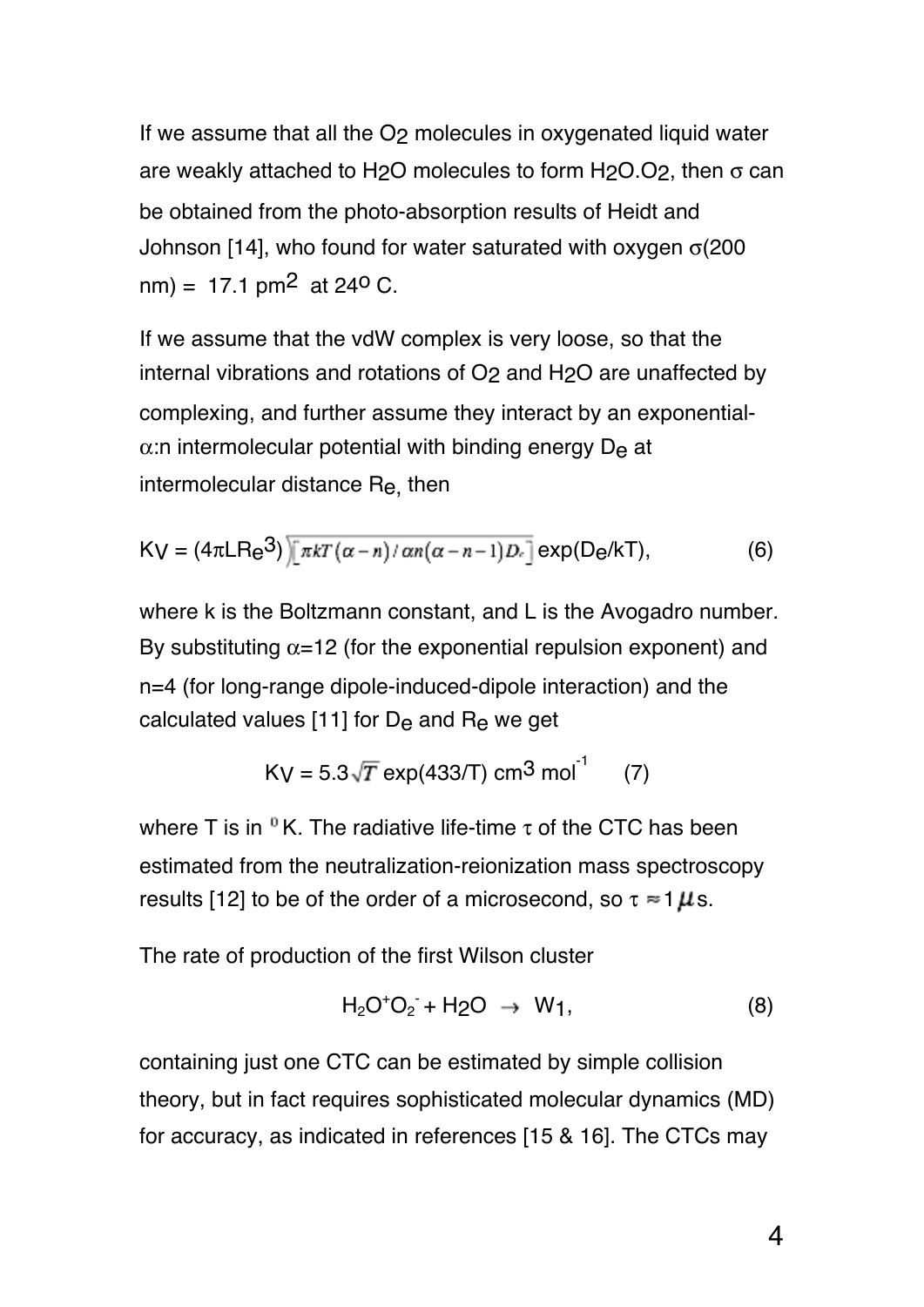If we assume that all the O<sub>2</sub> molecules in oxygenated liquid water are weakly attached to H<sub>2</sub>O molecules to form H<sub>2</sub>O.O<sub>2</sub>, then  $\sigma$  can be obtained from the photo-absorption results of Heidt and Johnson [14], who found for water saturated with oxygen σ(200  $nm$ ) = 17.1 pm<sup>2</sup> at 24<sup>o</sup> C.

If we assume that the vdW complex is very loose, so that the internal vibrations and rotations of O2 and H2O are unaffected by complexing, and further assume they interact by an exponential- $\alpha$ :n intermolecular potential with binding energy D<sub>e</sub> at intermolecular distance Re, then

$$
K_V = (4\pi LR_e^3) \sqrt{\pi kT(\alpha - n)/\alpha n(\alpha - n - 1)D_e} \exp(D_e/kT), \tag{6}
$$

where k is the Boltzmann constant, and L is the Avogadro number. By substituting  $\alpha$ =12 (for the exponential repulsion exponent) and n=4 (for long-range dipole-induced-dipole interaction) and the calculated values [11] for De and Re we get

$$
Kv = 5.3\sqrt{T} \exp(433/T) \text{ cm}^3 \text{ mol}^{-1} \qquad (7)
$$

where T is in  $\mathbb{R}$ . The radiative life-time  $\tau$  of the CTC has been estimated from the neutralization-reionization mass spectroscopy results [12] to be of the order of a microsecond, so  $\tau \approx 1 \mu s$ .

The rate of production of the first Wilson cluster

$$
H_2O^+O_2^- + H_2O \rightarrow W_1, \qquad (8)
$$

containing just one CTC can be estimated by simple collision theory, but in fact requires sophisticated molecular dynamics (MD) for accuracy, as indicated in references [15 & 16]. The CTCs may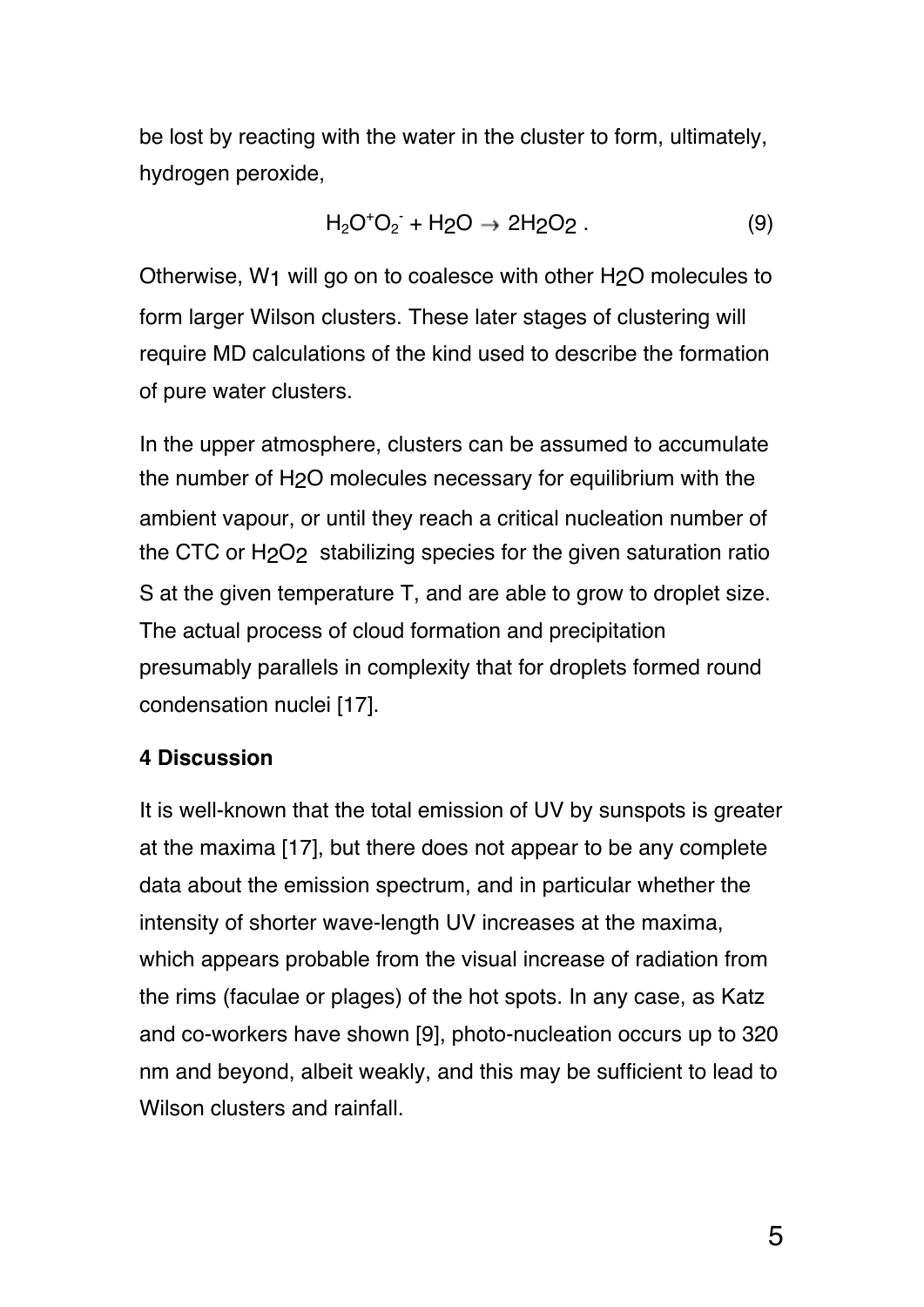be lost by reacting with the water in the cluster to form, ultimately, hydrogen peroxide,

$$
H_2O^+O_2 + H_2O \to 2H_2O_2. \tag{9}
$$

Otherwise, W1 will go on to coalesce with other H2O molecules to form larger Wilson clusters. These later stages of clustering will require MD calculations of the kind used to describe the formation of pure water clusters.

In the upper atmosphere, clusters can be assumed to accumulate the number of H2O molecules necessary for equilibrium with the ambient vapour, or until they reach a critical nucleation number of the CTC or H2O2 stabilizing species for the given saturation ratio S at the given temperature T, and are able to grow to droplet size. The actual process of cloud formation and precipitation presumably parallels in complexity that for droplets formed round condensation nuclei [17].

#### **4 Discussion**

It is well-known that the total emission of UV by sunspots is greater at the maxima [17], but there does not appear to be any complete data about the emission spectrum, and in particular whether the intensity of shorter wave-length UV increases at the maxima, which appears probable from the visual increase of radiation from the rims (faculae or plages) of the hot spots. In any case, as Katz and co-workers have shown [9], photo-nucleation occurs up to 320 nm and beyond, albeit weakly, and this may be sufficient to lead to Wilson clusters and rainfall.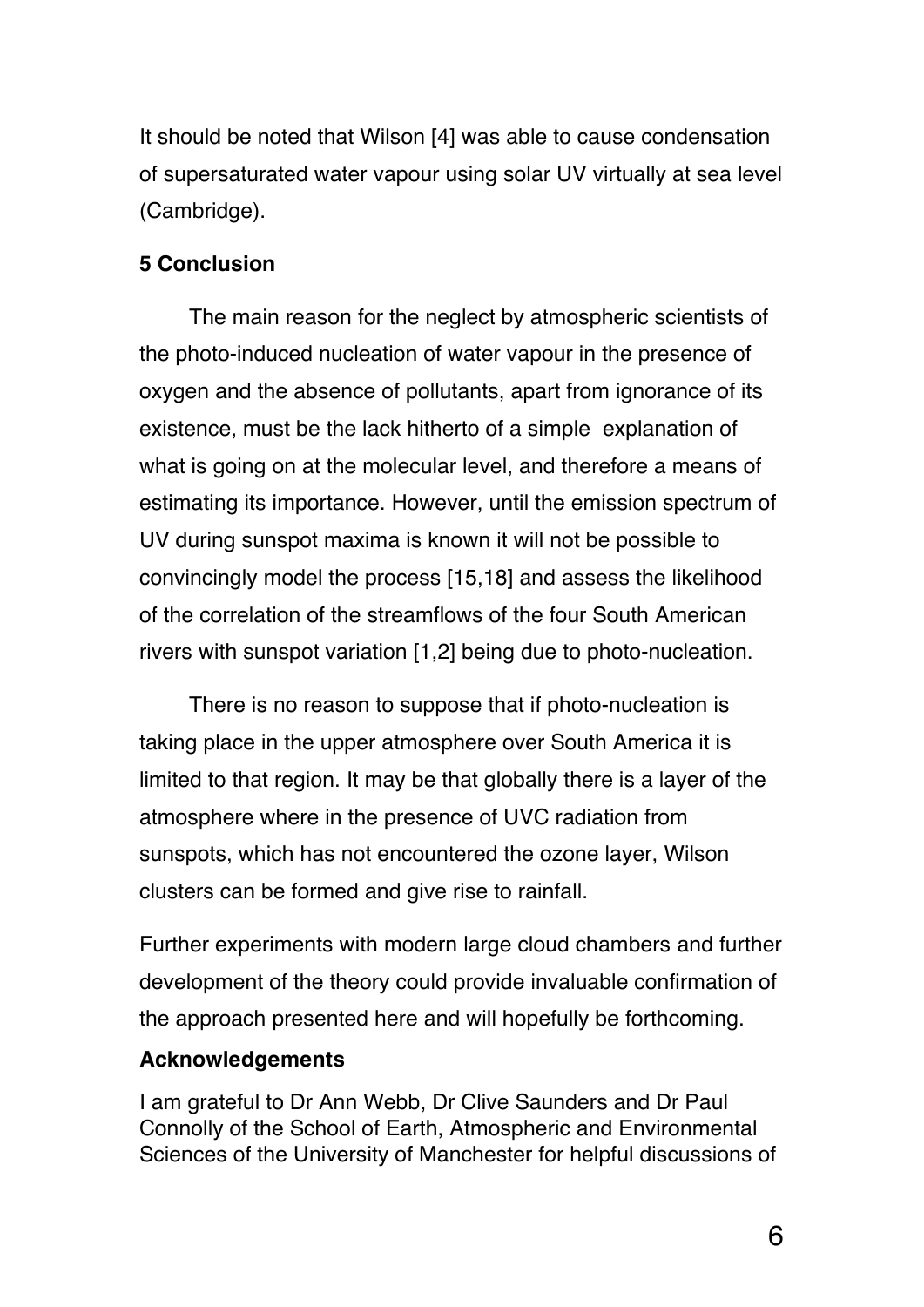It should be noted that Wilson [4] was able to cause condensation of supersaturated water vapour using solar UV virtually at sea level (Cambridge).

#### **5 Conclusion**

The main reason for the neglect by atmospheric scientists of the photo-induced nucleation of water vapour in the presence of oxygen and the absence of pollutants, apart from ignorance of its existence, must be the lack hitherto of a simple explanation of what is going on at the molecular level, and therefore a means of estimating its importance. However, until the emission spectrum of UV during sunspot maxima is known it will not be possible to convincingly model the process [15,18] and assess the likelihood of the correlation of the streamflows of the four South American rivers with sunspot variation [1,2] being due to photo-nucleation.

There is no reason to suppose that if photo-nucleation is taking place in the upper atmosphere over South America it is limited to that region. It may be that globally there is a layer of the atmosphere where in the presence of UVC radiation from sunspots, which has not encountered the ozone layer, Wilson clusters can be formed and give rise to rainfall.

Further experiments with modern large cloud chambers and further development of the theory could provide invaluable confirmation of the approach presented here and will hopefully be forthcoming.

#### **Acknowledgements**

I am grateful to Dr Ann Webb, Dr Clive Saunders and Dr Paul Connolly of the School of Earth, Atmospheric and Environmental Sciences of the University of Manchester for helpful discussions of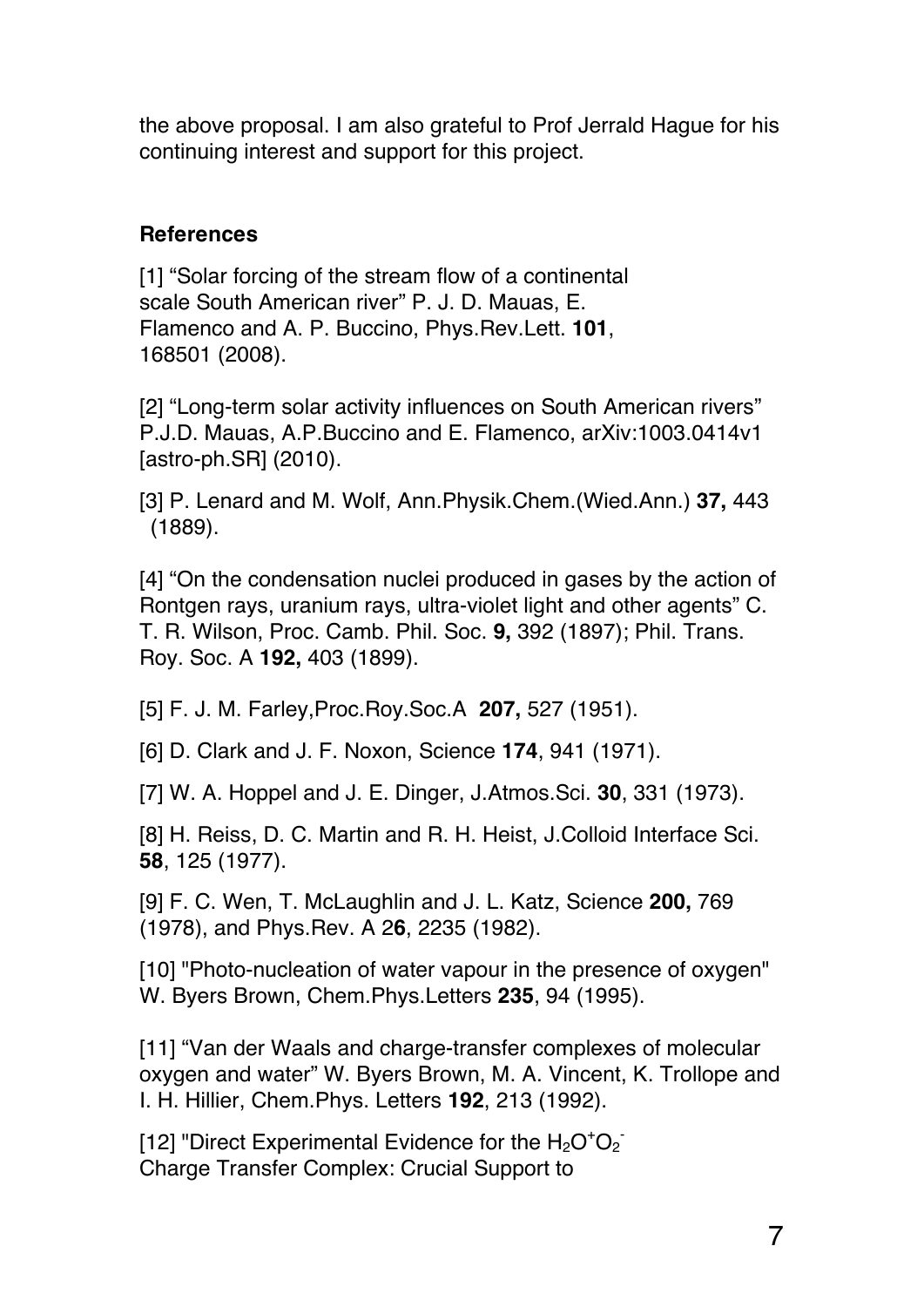the above proposal. I am also grateful to Prof Jerrald Hague for his continuing interest and support for this project.

### **References**

[1] "Solar forcing of the stream flow of a continental scale South American river" P. J. D. Mauas, E. Flamenco and A. P. Buccino, Phys.Rev.Lett. **101**, 168501 (2008).

[2] "Long-term solar activity influences on South American rivers" P.J.D. Mauas, A.P.Buccino and E. Flamenco, arXiv:1003.0414v1 [astro-ph.SR] (2010).

[3] P. Lenard and M. Wolf, Ann.Physik.Chem.(Wied.Ann.) **37,** 443 (1889).

[4] "On the condensation nuclei produced in gases by the action of Rontgen rays, uranium rays, ultra-violet light and other agents" C. T. R. Wilson, Proc. Camb. Phil. Soc. **9,** 392 (1897); Phil. Trans. Roy. Soc. A **192,** 403 (1899).

[5] F. J. M. Farley,Proc.Roy.Soc.A **207,** 527 (1951).

[6] D. Clark and J. F. Noxon, Science **174**, 941 (1971).

[7] W. A. Hoppel and J. E. Dinger, J.Atmos.Sci. **30**, 331 (1973).

[8] H. Reiss, D. C. Martin and R. H. Heist, J.Colloid Interface Sci. **58**, 125 (1977).

[9] F. C. Wen, T. McLaughlin and J. L. Katz, Science **200,** 769 (1978), and Phys.Rev. A 2**6**, 2235 (1982).

[10] "Photo-nucleation of water vapour in the presence of oxygen" W. Byers Brown, Chem.Phys.Letters **235**, 94 (1995).

[11] "Van der Waals and charge-transfer complexes of molecular oxygen and water" W. Byers Brown, M. A. Vincent, K. Trollope and I. H. Hillier, Chem.Phys. Letters **192**, 213 (1992).

[12] "Direct Experimental Evidence for the  $H_2O^+O_2^-$ Charge Transfer Complex: Crucial Support to